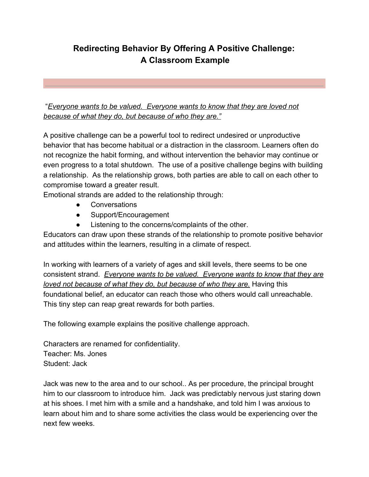## **Redirecting Behavior By Offering A Positive Challenge: A Classroom Example**

 "*Everyone wants to be valued. Everyone wants to know that they are loved not because of what they do, but because of who they are."*

A positive challenge can be a powerful tool to redirect undesired or unproductive behavior that has become habitual or a distraction in the classroom. Learners often do not recognize the habit forming, and without intervention the behavior may continue or even progress to a total shutdown. The use of a positive challenge begins with building a relationship. As the relationship grows, both parties are able to call on each other to compromise toward a greater result.

Emotional strands are added to the relationship through:

- Conversations
- Support/Encouragement
- Listening to the concerns/complaints of the other.

Educators can draw upon these strands of the relationship to promote positive behavior and attitudes within the learners, resulting in a climate of respect.

In working with learners of a variety of ages and skill levels, there seems to be one consistent strand. *Everyone wants to be valued. Everyone wants to know that they are loved not because of what they do, but because of who they are.* Having this foundational belief, an educator can reach those who others would call unreachable. This tiny step can reap great rewards for both parties.

The following example explains the positive challenge approach.

Characters are renamed for confidentiality. Teacher: Ms. Jones Student: Jack

Jack was new to the area and to our school.. As per procedure, the principal brought him to our classroom to introduce him. Jack was predictably nervous just staring down at his shoes. I met him with a smile and a handshake, and told him I was anxious to learn about him and to share some activities the class would be experiencing over the next few weeks.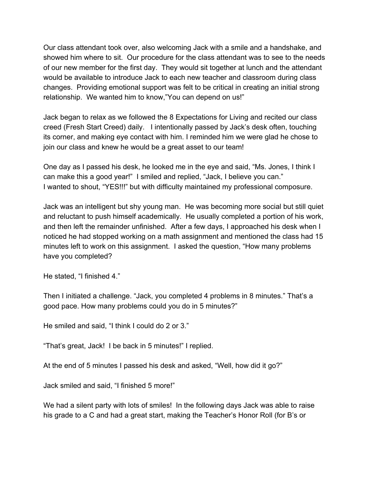Our class attendant took over, also welcoming Jack with a smile and a handshake, and showed him where to sit. Our procedure for the class attendant was to see to the needs of our new member for the first day. They would sit together at lunch and the attendant would be available to introduce Jack to each new teacher and classroom during class changes. Providing emotional support was felt to be critical in creating an initial strong relationship. We wanted him to know,"You can depend on us!"

Jack began to relax as we followed the 8 Expectations for Living and recited our class creed (Fresh Start Creed) daily. I intentionally passed by Jack's desk often, touching its corner, and making eye contact with him. I reminded him we were glad he chose to join our class and knew he would be a great asset to our team!

One day as I passed his desk, he looked me in the eye and said, "Ms. Jones, I think I can make this a good year!" I smiled and replied, "Jack, I believe you can." I wanted to shout, "YES!!!" but with difficulty maintained my professional composure.

Jack was an intelligent but shy young man. He was becoming more social but still quiet and reluctant to push himself academically. He usually completed a portion of his work, and then left the remainder unfinished. After a few days, I approached his desk when I noticed he had stopped working on a math assignment and mentioned the class had 15 minutes left to work on this assignment. I asked the question, "How many problems have you completed?

He stated, "I finished 4."

Then I initiated a challenge. "Jack, you completed 4 problems in 8 minutes." That's a good pace. How many problems could you do in 5 minutes?"

He smiled and said, "I think I could do 2 or 3."

"That's great, Jack! I be back in 5 minutes!" I replied.

At the end of 5 minutes I passed his desk and asked, "Well, how did it go?"

Jack smiled and said, "I finished 5 more!"

We had a silent party with lots of smiles! In the following days Jack was able to raise his grade to a C and had a great start, making the Teacher's Honor Roll (for B's or